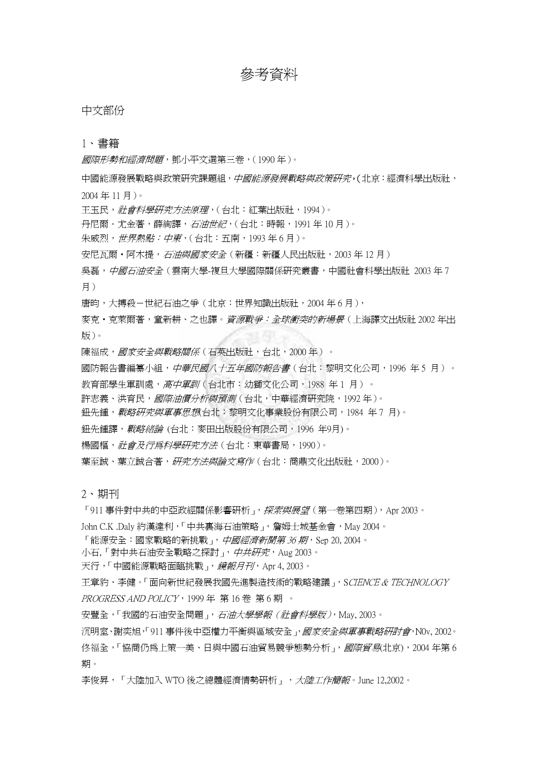# 參考資料

#### 中文部份

#### 1、 書籍

國際形勢和經濟問題,鄧小平文選第三卷,(1990 年)。

中國能源發展戰略與政策研究課題組,中國能源發展戰略與政策研究,(北京:經濟科學出版社, 2004 年 11 月)。

王玉民, 社會科學研究方法原理, (台北:紅葉出版社, 1994)。

丹尼爾·尤金著,薛絢譯,石油世紀,(台北:時報,1991年10月)。

朱威烈,世界熱點:中東,(台北:五南,1993 年 6 月)。

安尼瓦爾·阿木提,石油與國家安全(新疆:新疆人民出版社,2003年12月)

吳磊, *中國石油安全*(雲南大學-複旦大學國際關係研究叢書, 中國社會科學出版社 2003 年 7 月)

唐昀,大搏殺-世紀石油之爭(北京:世界知識出版社,2004 年 6 月),

麥克・克萊爾著,童新耕、之也譯。*資源戰爭:全球衝突的新場景*(上海譯文出版社 2002 年出 版)。

陳福成,國家安全與戰略關係(石英出版社,台北,2000年)。

國防報告書編纂小組,*中華民國八十五年國防報告書*(台北:黎明文化公司,1996 年 5 月)。

教育部學生軍訓處,高中軍訓(台北市:幼獅文化公司,1988年1月)。

許志義、洪育民, 國際油價分析與預測(台北,中華經濟研究院, 1992年)。

鈕先鍾, *戰略研究與軍事思想*(台北: 黎明文化事業股份有限公司, 1984 年 7 月)。

鈕先鍾譯,*戰略緒論* (台北:麥田出版股份有限公司,1996 年9月)。

楊國樞,社會及行為科學研究方法(台北:東華書局,1990)。

葉至誠、葉立誠合著,研究方法與論文寫作(台北:商鼎文化出版社,2000)。

2、 期刊

「911 事件對中共的中亞政經關係影響研析」, *探索與展望*(第一卷第四期), Apr 2003。

John C.K .Daly 約漢達利,「中共裏海石油策略」, 詹姆士城基金會, May 2004。

「能源安全:國家戰略的新挑戰」,中國經濟新聞第 36 期, Sep 20, 2004。

小石,「對中共石油安全戰略之探討」, *中共研究*, Aug 2003。

天行,「中國能源戰略面臨挑戰」, *鏡報月刊*, Apr 4, 2003。

王章豹、李健。「面向新世紀發展我國先進製造技術的戰略建議」,SCIENCE & TECHNOLOGY PROGRESS AND POLICY, 1999 年 第 16 卷 第 6 期 。

安豐全,「我國的石油安全問題」, 石油大學學報 (社會科學版), May, 2003。

沉明室、謝奕旭,「911 事件後中亞權力平衡與區域安全 , *國家安全與軍事戰略研討會*, N0v, 2002。 佟福全,「協商仍為上策一美、日與中國石油貿易競爭態勢分析」, 國際貿易(北京), 2004 年第 6 期。

李俊昇,「大陸加入 WTO 後之總體經濟情勢研析」, 大陸工作簡報。June 12,2002。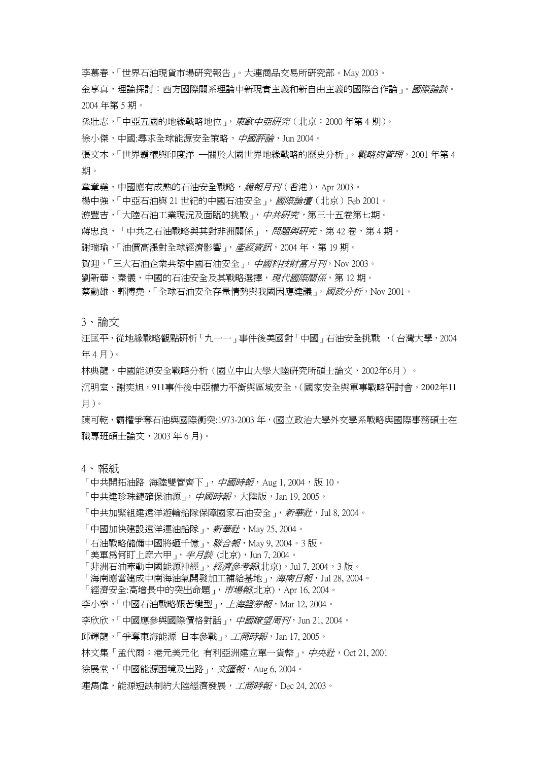李慕春,「世界石油現貨市場研究報告」。大連商品交易所研究部。May 2003。

金享真,理論探討:西方國際關系理論中新現實主義和新自由主義的國際合作論」。*國際論談*。 2004 年第 5 期。

孫壯志,「中亞五國的地緣戰略地位」, 東歐中亞研究(北京: 2000年第4期)。

徐小傑,中國:尋求全球能源安全策略,中國評論, Jun 2004。

張文木,「世界霸權與印度洋 —關於大國世界地緣戰略的歷史分析」。*戰略與管理*, 2001 年第 4 期。

韋章堯,中國應有成熟的石油安全戰略,*鏡報月刊*(香港), Apr 2003。

楊中強,「中亞石油與 21 世紀的中國石油安全 」, *國際論壇*(北京)Feb 2001。

游豐吉,「大陸石油工業現況及面臨的挑戰」, *中共研究*, 第三十五卷第七期。

蔣忠良,「中共之石油戰略與其對非洲關係」, 問題與研究, 第 42 卷, 第 4 期。

謝瑞瑜,「油價高漲對全球經濟影響」,產經資訊, 2004年,第 19期。

賀迎,「三大石油企業共築中國石油安全」,中國科技財富月刊, Nov 2003。

劉新華、秦儀,中國的石油安全及其戰略選擇,現代國際關係,第12期。

蔡勳雄、郭博堯,「全球石油安全存量情勢與我國因應建議」。*國政分析*, Nov 2001。

3、 論文

汪匡平,從地緣戰略觀點研析「九一一」事件後美國對「中國」石油安全挑戰 ,(台灣大學,2004 年 4 月)。

林典龍,中國能源安全戰略分析(國立中山大學大陸研究所碩士論文,2002年6月)。

沉明室、謝奕旭,911事件後中亞權力平衡與區域安全,(國家安全與軍事戰略研討會,2002年11 月)。

陳可乾,霸權爭奪石油與國際衝突:1973-2003年,(國立政治大學外交學系戰略與國際事務碩士在 職專班碩士論文,2003 年 6 月)。

4、 報紙

「中共開拓油路 海陸雙管齊下」, *中國時報*, Aug 1, 2004, 版 10。

「中共建珍珠鏈確保油源」, *中國時報*, 大陸版, Jan 19, 2005。

「中共加緊組建遠洋遊輪船隊保障國家石油安全」, 新華社, Jul 8, 2004。

「中國加快建設遠洋運油船隊」, *新華社*, May 25, 2004。

「石油戰略儲備中國將砸千億」,*聯合報*,May 9, 2004。3 版。

「美軍為何盯上麻六甲」,*半月談* (北京),Jun 7, 2004。

「非洲石油牽動中國能源神經」, 經濟參考報(北京), Jul 7, 2004, 3 版。

「海南應當建成中南海油氣開發加工補給基地」,*海南日報*, Jul 28, 2004。

「經濟安全:高增長中的突出命題」, *市場報*(北京), Apr 16, 2004。

李小寧,「中國石油戰略艱苦變型」, *上海證券報*, Mar 12, 2004。

李欣欣,「中國應參與國際價格對話」,中國瞭望周刊, Jun 21, 2004。

邱輝龍,「爭奪東海能源 日本參戰」, 工商時報, Jan 17, 2005。

林文集「孟代爾:港元美元化 有利亞洲建立單一貨幣」, 中央社, Oct 21, 2001

徐展堂,「中國能源困境及出路」, 文匯報, Aug 6, 2004。

連雋偉,能源短缺制約大陸經濟發展,工商時報,Dec 24, 2003。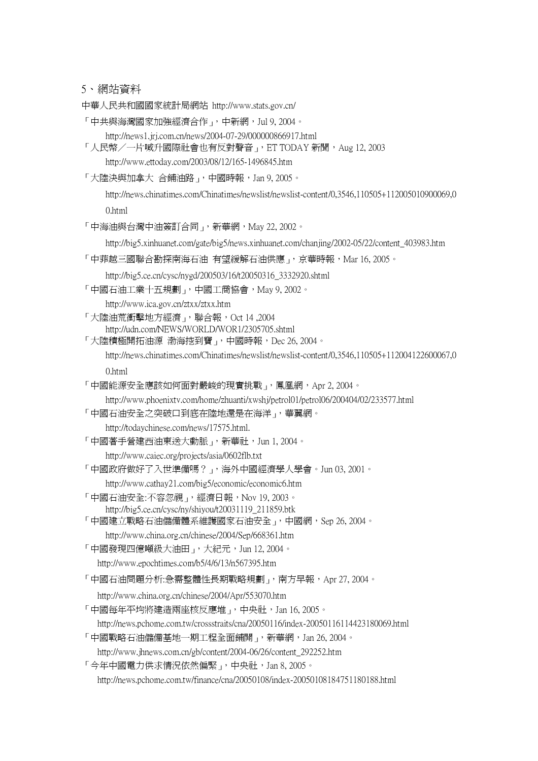5、 網站資料

中華人民共和國國家統計局網站 http://www.stats.gov.cn/

「中共與海灣國家加強經濟合作」,中新網,Jul 9, 2004。

http://news1.jrj.com.cn/news/2004-07-29/000000866917.html

「人民幣/一片喊升國際社會也有反對聲音」, ET TODAY 新聞, Aug 12, 2003 http://www.ettoday.com/2003/08/12/165-1496845.htm

「大陸決與加拿大 合鋪油路」,中國時報, Jan 9, 2005。

http://news.chinatimes.com/Chinatimes/newslist/newslist-content/0,3546,110505+112005010900069,0 0.html

「中海油與台灣中油簽訂合同」,新華網,May 22, 2002。

http://big5.xinhuanet.com/gate/big5/news.xinhuanet.com/chanjing/2002-05/22/content\_403983.htm

「中菲越三國聯合勘探南海石油 有望緩解石油供應」,京華時報,Mar 16,2005。

http://big5.ce.cn/cysc/nygd/200503/16/t20050316\_3332920.shtml

「中國石油工業十五規劃」,中國工商協會,May 9, 2002。

http://www.ica.gov.cn/ztxx/ztxx.htm

- 「大陸油荒衝擊地方經濟」,聯合報,Oct 14 ,2004 http://udn.com/NEWS/WORLD/WOR1/2305705.shtml
- 「大陸積極開拓油源 渤海挖到寶」,中國時報, Dec 26, 2004。

http://news.chinatimes.com/Chinatimes/newslist/newslist-content/0,3546,110505+112004122600067,0

0.html

「中國能源安全應該如何面對嚴峻的現實挑戰」,鳳凰網,Apr 2, 2004。

http://www.phoenixtv.com/home/zhuanti/xwshj/petrol01/petrol06/200404/02/233577.html

「中國石油安全之突破口到底在陸地還是在海洋」,華翼網。

http://todaychinese.com/news/17575.html.

「中國著手營建西油東送大動脈」,新華社,Jun 1, 2004。

http://www.caiec.org/projects/asia/0602flb.txt

「中國政府做好了入世準備嗎?」, 海外中國經濟學人學會。Jun 03, 2001。

http://www.cathay21.com/big5/economic/economic6.htm

- 「中國石油安全:不容忽視」,經濟日報,Nov 19, 2003。
- http://big5.ce.cn/cysc/ny/shiyou/t20031119\_211859.btk
- 「中國建立戰略石油儲備體系維護國家石油安全」,中國網,Sep 26,2004。
	- http://www.china.org.cn/chinese/2004/Sep/668361.htm
- 「中國發現四億噸級大油田」,大紀元,Jun 12,2004。
	- http://www.epochtimes.com/b5/4/6/13/n567395.htm

「中國石油問題分析:急需整體性長期戰略規劃」,南方早報,Apr 27, 2004。

http://www.china.org.cn/chinese/2004/Apr/553070.htm

「中國每年平均將建造兩座核反應堆」,中央社,Jan 16,2005。

http://news.pchome.com.tw/crossstraits/cna/20050116/index-20050116114423180069.html

「中國戰略石油儲備基地一期工程全面鋪開」, 新華網, Jan 26, 2004。

http://www.jhnews.com.cn/gb/content/2004-06/26/content\_292252.htm

「今年中國電力供求情況依然偏緊」,中央社,Jan 8,2005。

http://news.pchome.com.tw/finance/cna/20050108/index-20050108184751180188.html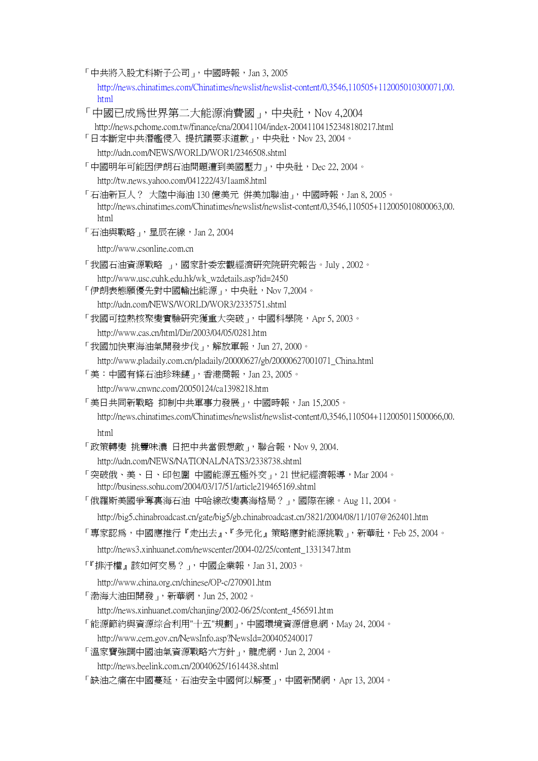「中共將入股尤科斯子公司」,中國時報, Jan 3, 2005

http://news.chinatimes.com/Chinatimes/newslist/newslist-content/0,3546,110505+112005010300071,00. html

- 「中國已成為世界第二大能源消費國」,中央社,Nov 4,2004 http://news.pchome.com.tw/finance/cna/20041104/index-20041104152348180217.html 「日本斷定中共潛艦侵入 提抗議要求道歉」,中央社,Nov 23, 2004。 http://udn.com/NEWS/WORLD/WOR1/2346508.shtml 「中國明年可能因伊朗石油問題遭到美國壓力」,中央社, Dec 22, 2004。 http://tw.news.yahoo.com/041222/43/1aam8.html 「石油新巨人? 大陸中海油 130 億美元 併美加聯油」,中國時報,Jan 8, 2005。 http://news.chinatimes.com/Chinatimes/newslist/newslist-content/0,3546,110505+112005010800063,00. html 「石油與戰略」,星辰在線, Jan 2, 2004 http://www.csonline.com.cn 「我國石油資源戰略 」,國家計委宏觀經濟研究院研究報告。July , 2002。 http://www.usc.cuhk.edu.hk/wk\_wzdetails.asp?id=2450 「伊朗表態願優先對中國輸出能源」,中央社,Nov 7,2004。 http://udn.com/NEWS/WORLD/WOR3/2335751.shtml 「我國可控熱核聚變實驗研究獲重大突破」,中國科學院,Apr 5, 2003。 http://www.cas.cn/html/Dir/2003/04/05/0281.htm 「我國加快東海油氣開發步伐」,解放軍報, Jun 27, 2000。 http://www.pladaily.com.cn/pladaily/20000627/gb/20000627001071\_China.html 「美:中國有條石油珍珠鏈」,香港商報,Jan 23, 2005。 http://www.cnwnc.com/20050124/ca1398218.htm 「美日共同新戰略 抑制中共軍事力發展」,中國時報,Jan 15,2005。 http://news.chinatimes.com/Chinatimes/newslist/newslist-content/0,3546,110504+112005011500066,00. html 「政策轉變 挑釁味濃 日把中共當假想敵」,聯合報,Nov 9, 2004. http://udn.com/NEWS/NATIONAL/NATS3/2338738.shtml 「突破俄、美、日、印包圍 中國能源五極外交」,21 世紀經濟報導,Mar 2004。 http://business.sohu.com/2004/03/17/51/article219465169.shtml 「俄羅斯美國爭奪裏海石油 中哈線改變裏海格局?」,國際在線。Aug 11,2004。 http://big5.chinabroadcast.cn/gate/big5/gb.chinabroadcast.cn/3821/2004/08/11/107@262401.htm 「專家認為,中國應推行『走出去』、『多元化』策略應對能源挑戰」,新華社,Feb 25, 2004。 http://news3.xinhuanet.com/newscenter/2004-02/25/content\_1331347.htm 「『排汙權』該如何交易?」,中國企業報,Jan 31, 2003。 http://www.china.org.cn/chinese/OP-c/270901.htm 「渤海大油田開發」,新華網,Jun 25, 2002。
	- http://news.xinhuanet.com/chanjing/2002-06/25/content\_456591.htm
- 「能源節約與資源综合利用"十五"規劃」,中國環境資源信息網,May 24, 2004。

http://www.cern.gov.cn/NewsInfo.asp?NewsId=200405240017

「溫家寶強調中國油氣資源戰略六方針」,龍虎網,Jun 2, 2004。

http://news.beelink.com.cn/20040625/1614438.shtml

「缺油之痛在中國蔓延,石油安全中國何以解憂」,中國新聞網,Apr 13, 2004。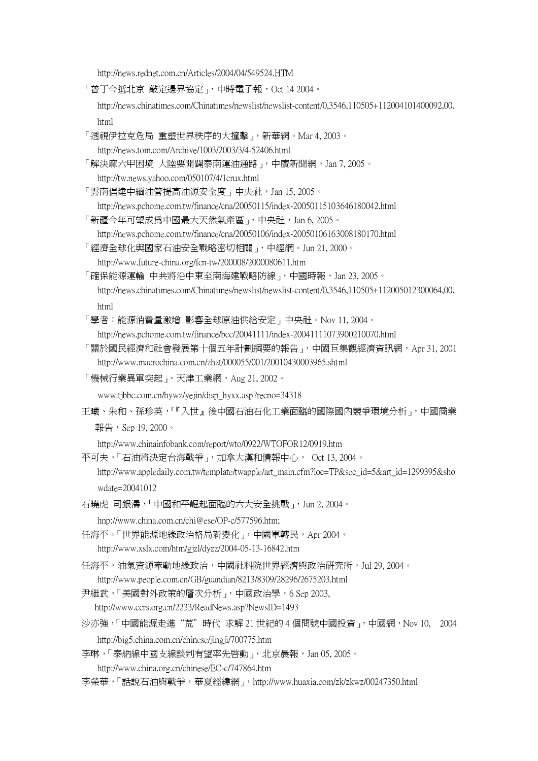http://news.rednet.com.cn/Articles/2004/04/549524.HTM

「普丁今抵北京 敲定邊界協定」,中時電子報,Oct 14 2004。

http://news.chinatimes.com/Chinatimes/newslist/newslist-content/0,3546,110505+112004101400092,00. html

「透視伊拉克危局 重塑世界秩序的大撞擊」, 新華網。Mar 4, 2003。

http://news.tom.com/Archive/1003/2003/3/4-52406.html

- 「解決麻六甲困境 大陸要開闢泰南運油通路」,中廣新聞網,Jan 7, 2005。 http://tw.news.yahoo.com/050107/4/1crux.html
- 「雲南倡建中緬油管提高油源安全度」中央社, Jan 15, 2005。 http://news.pchome.com.tw/finance/cna/20050115/index-20050115103646180042.html
- 「新疆今年可望成爲中國最大天然氣產區」,中央社,Jan 6,2005。

http://news.pchome.com.tw/finance/cna/20050106/index-20050106163008180170.html

- 「經濟全球化與國家石油安全戰略密切相關」,中經網。Jun 21, 2000。
- http://www.future-china.org/fcn-tw/200008/2000080611.htm
- 「確保能源運輸 中共將沿中東至南海建戰略防線」,中國時報,Jan 23,2005。 http://news.chinatimes.com/Chinatimes/newslist/newslist-content/0,3546,110505+112005012300064,00. html
- 「學者:能源消費量激增 影響全球原油供給安定」中央社。Nov 11, 2004。

http://news.pchome.com.tw/finance/bcc/20041111/index-20041111073900210070.html

- 「關於國民經濟和社會發展第十個五年計劃綱要的報告」,中國巨集觀經濟資訊網,Apr 31, 2001 http://www.macrochina.com.cn/zhzt/000055/001/20010430003965.shtml
- 「機械行業異軍突起」,天津工業網, Aug 21, 2002。
	- www.tjbbc.com.cn/hywz/yejin/disp\_hyxx.asp?recno=34318
- 王曦、朱和、孫珍英,「『入世』後中國石油石化工業面臨的國際國內競爭環境分析」,中國商業 報告,Sep 19, 2000。

http://www.chinainfobank.com/report/wto/0922/WTOFOR12/0919.htm

- 平可夫,「石油將決定台海戰爭」,加拿大漢和情報中心, Oct 13, 2004。
	- http://www.appledaily.com.tw/template/twapple/art\_main.cfm?loc=TP&sec\_id=5&art\_id=1299395&sho wdate=20041012
- 石曉虎 司銀濤,「中國和平崛起面臨的六大安全挑戰」,Jun 2, 2004。

hnp://www.china.com.cn/chi@ese/OP-c/577596.htm;

- 任海平。「世界能源地緣政治格局新變化」,中國軍轉民, Apr 2004。 http://www.xslx.com/htm/gjzl/dyzz/2004-05-13-16842.htm
- 任海平,油氣資源牽動地緣政治,中國社科院世界經濟與政治研究所,Jul 29, 2004。 http://www.people.com.cn/GB/guandian/8213/8309/28296/2675203.html
- 尹繼武,「美國對外政策的層次分析」,中國政治學,6 Sep 2003, http://www.ccrs.org.cn/2233/ReadNews.asp?NewsID=1493
- 沙亦強,「中國能源走進"荒"時代 求解 21 世紀的 4 個問號中國投資,,中國網,Nov 10, 2004 http://big5.china.com.cn/chinese/jingji/700775.htm
- 李琳,「泰納線中國支線談判有望率先啓動」, 北京晨報, Jan 05, 2005。

http://www.china.org.cn/chinese/EC-c/747864.htm

李榮華,「話說石油與戰爭,華夏經緯網」,http://www.huaxia.com/zk/zkwz/00247350.html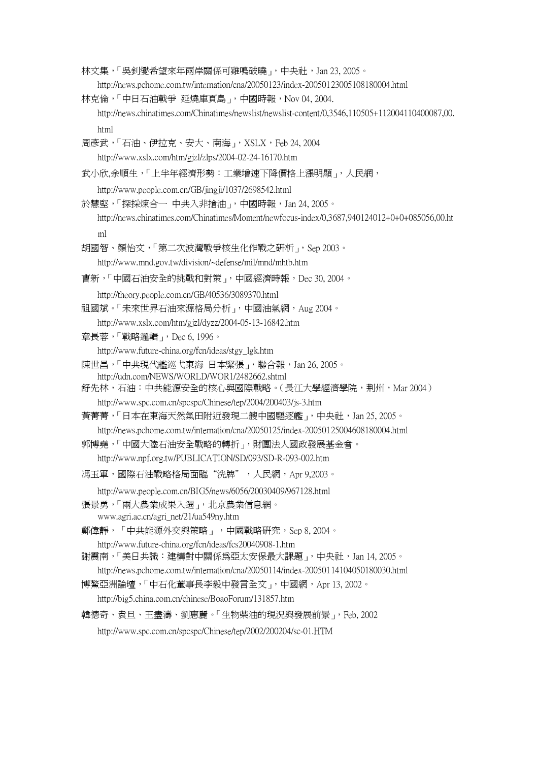- 林文集,「吳釗燮希望來年兩岸關係可雞鳴破曉」,中央社, Jan 23, 2005。 http://news.pchome.com.tw/internation/cna/20050123/index-20050123005108180004.html
- 林克倫,「中日石油戰爭 延燒庫頁島」,中國時報, Nov 04, 2004. http://news.chinatimes.com/Chinatimes/newslist/newslist-content/0,3546,110505+112004110400087,00. html
- 周彥武,「石油、伊拉克、安大、南海」, XSLX, Feb 24, 2004 http://www.xslx.com/htm/gjzl/zlps/2004-02-24-16170.htm
- 武小欣,余順生,「上半年經濟形勢:工業增速下降價格上漲明顯」,人民網,
	- http://www.people.com.cn/GB/jingji/1037/2698542.html
- 於慧堅,「探採煉合一 中共入非搶油」,中國時報, Jan 24, 2005。 http://news.chinatimes.com/Chinatimes/Moment/newfocus-index/0,3687,940124012+0+0+085056,00.ht
	- ml
- 胡國智、顏怡文,「第二次波灣戰爭核生化作戰之研析」,Sep 2003。
	- http://www.mnd.gov.tw/division/~defense/mil/mnd/mhtb.htm
- 曹新,「中國石油安全的挑戰和對策」,中國經濟時報,Dec 30, 2004。
	- http://theory.people.com.cn/GB/40536/3089370.html
- 祖國斌。「未來世界石油來源格局分析」,中國油氣網,Aug 2004。
	- http://www.xslx.com/htm/gjzl/dyzz/2004-05-13-16842.htm
- 章長蓉,「戰略邏輯」,Dec 6, 1996。
	- http://www.future-china.org/fcn/ideas/stgy\_lgk.htm
- 陳世昌,「中共現代艦巡弋東海 日本緊張」,聯合報, Jan 26, 2005。 http://udn.com/NEWS/WORLD/WOR1/2482662.shtml
- 舒先林,石油:中共能源安全的核心與國際戰略。(長江大學經濟學院,荆州,Mar 2004) http://www.spc.com.cn/spcspc/Chinese/tep/2004/200403/js-3.htm
- 黃菁菁,「日本在東海天然氣田附近發現二艘中國驅逐艦」,中央社, Jan 25, 2005。
	- http://news.pchome.com.tw/internation/cna/20050125/index-20050125004608180004.html
- 郭博堯,「中國大陸石油安全戰略的轉折」,財團法人國政發展基金會。
- http://www.npf.org.tw/PUBLICATION/SD/093/SD-R-093-002.htm
- 馮玉軍,國際石油戰略格局面臨"洗牌",人民網,Apr 9,2003。
- http://www.people.com.cn/BIG5/news/6056/20030409/967128.html
- 張景勇,「兩大農業成果入選」,北京農業信息網。
	- www.agri.ac.cn/agri\_net/21/ua549ny.htm
- 鄭偉靜,「中共能源外交與策略」,中國戰略研究,Sep 8, 2004。
	- http://www.future-china.org/fcn/ideas/fcs20040908-1.htm
- 謝震南,「美日共識: 建構對中關係為亞太安保最大課題」,中央社, Jan 14, 2005。
- http://news.pchome.com.tw/internation/cna/20050114/index-20050114104050180030.html
- 博鰲亞洲論壇,「中石化董事長李毅中發言全文」,中國網,Apr 13, 2002。
	- http://big5.china.com.cn/chinese/BoaoForum/131857.htm
- 韓德奇、袁旦、王盡濤、劉惠麗。「生物柴油的現況與發展前景」,Feb, 2002
	- http://www.spc.com.cn/spcspc/Chinese/tep/2002/200204/sc-01.HTM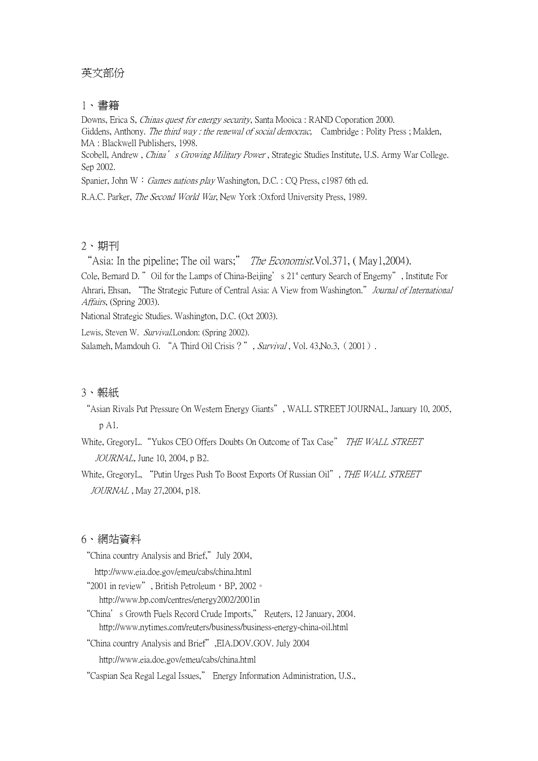# 英文部份

## 1、 書籍

Downs, Erica S, Chinas quest for energy security, Santa Mooica : RAND Coporation 2000. Giddens, Anthony. The third way: the renewal of social democrac, Cambridge : Polity Press; Malden, MA : Blackwell Publishers, 1998. Scobell, Andrew , China's Growing Military Power, Strategic Studies Institute, U.S. Army War College. Sep 2002.

Spanier, John W: Games nations play Washington, D.C. : CQ Press, c1987 6th ed.

R.A.C. Parker, The Second World War, New York :Oxford University Press, 1989.

### 2、 期刊

"Asia: In the pipeline; The oil wars;" The Economist. Vol. 371, (May1,2004).

Cole, Bernard D. "Oil for the Lamps of China-Beijing's  $21^s$  century Search of Engerny", Institute For Ahrari, Ehsan, "The Strategic Future of Central Asia: A View from Washington." Journal of International Affairs, (Spring 2003).

National Strategic Studies. Washington, D.C. (Oct 2003).

Lewis, Steven W. Survival. London: (Spring 2002).

Salameh, Mamdouh G. "A Third Oil Crisis?", Survival, Vol. 43, No.3, (2001).

# 3、報紙

"Asian Rivals Put Pressure On Western Energy Giants", WALL STREET JOURNAL, January 10, 2005, p A1.

White, GregoryL. "Yukos CEO Offers Doubts On Outcome of Tax Case" THE WALL STREET JOURNAL, June 10, 2004, p B2.

White, GregoryL, "Putin Urges Push To Boost Exports Of Russian Oil", THE WALL STREET JOURNAL , May 27,2004, p18.

#### 6、 網站資料

"China country Analysis and Brief,"July 2004,

http://www.eia.doe.gov/emeu/cabs/china.html

"2001 in review", British Petroleum, BP, 2002。

http://www.bp.com/centres/energy2002/2001in

"China's Growth Fuels Record Crude Imports," Reuters, 12 January, 2004. http://www.nytimes.com/reuters/business/business-energy-china-oil.html

"China country Analysis and Brief",EIA.DOV.GOV. July 2004

http://www.eia.doe.gov/emeu/cabs/china.html

"Caspian Sea Regal Legal Issues," Energy Information Administration, U.S.,